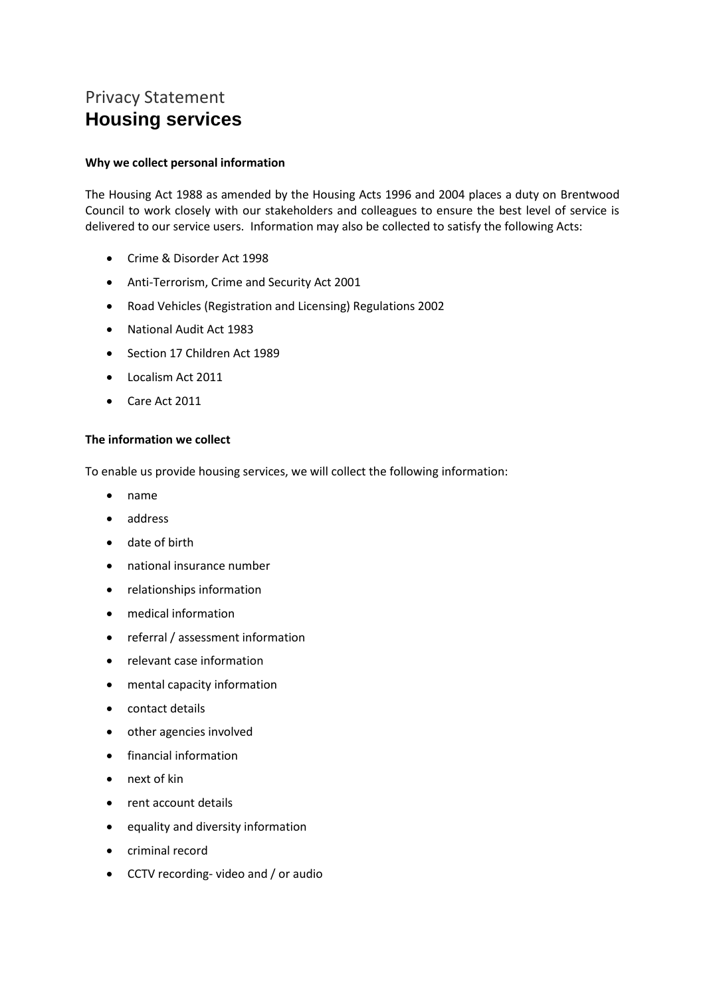# Privacy Statement **Housing services**

# **Why we collect personal information**

The Housing Act 1988 as amended by the Housing Acts 1996 and 2004 places a duty on Brentwood Council to work closely with our stakeholders and colleagues to ensure the best level of service is delivered to our service users. Information may also be collected to satisfy the following Acts:

- Crime & Disorder Act 1998
- Anti-Terrorism, Crime and Security Act 2001
- Road Vehicles (Registration and Licensing) Regulations 2002
- National Audit Act 1983
- Section 17 Children Act 1989
- Localism Act 2011
- Care Act 2011

# **The information we collect**

To enable us provide housing services, we will collect the following information:

- name
- address
- date of birth
- national insurance number
- relationships information
- medical information
- referral / assessment information
- relevant case information
- mental capacity information
- contact details
- other agencies involved
- financial information
- next of kin
- rent account details
- equality and diversity information
- criminal record
- CCTV recording- video and / or audio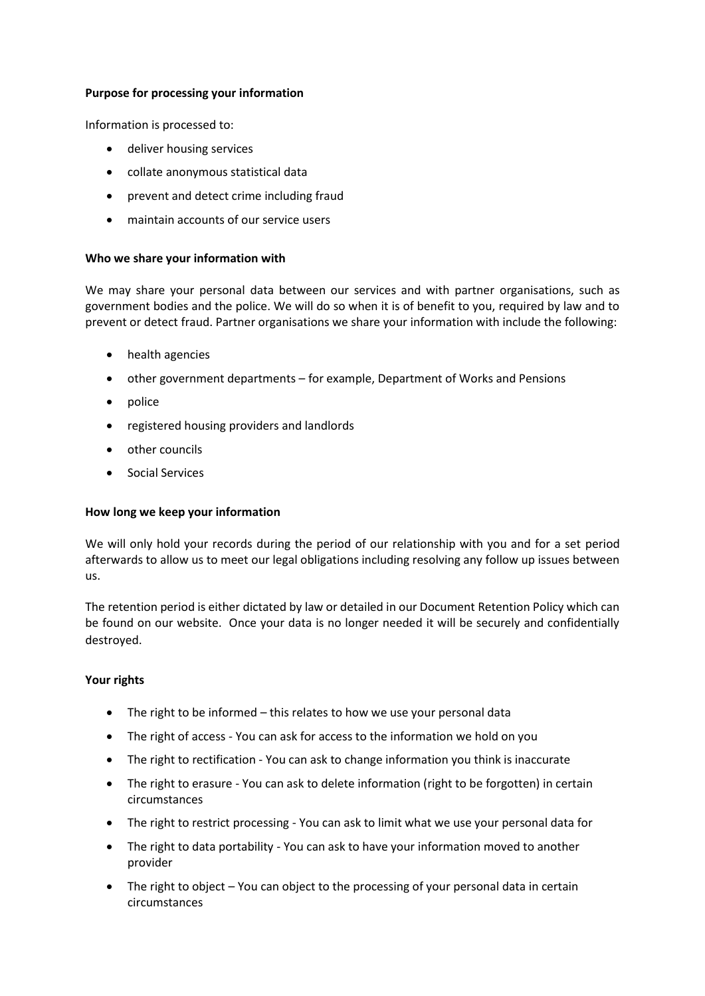# **Purpose for processing your information**

Information is processed to:

- deliver housing services
- collate anonymous statistical data
- prevent and detect crime including fraud
- maintain accounts of our service users

# **Who we share your information with**

We may share your personal data between our services and with partner organisations, such as government bodies and the police. We will do so when it is of benefit to you, required by law and to prevent or detect fraud. Partner organisations we share your information with include the following:

- health agencies
- other government departments for example, Department of Works and Pensions
- police
- registered housing providers and landlords
- other councils
- Social Services

# **How long we keep your information**

We will only hold your records during the period of our relationship with you and for a set period afterwards to allow us to meet our legal obligations including resolving any follow up issues between us.

The retention period is either dictated by law or detailed in our Document Retention Policy which can be found on our website. Once your data is no longer needed it will be securely and confidentially destroyed.

# **Your rights**

- The right to be informed this relates to how we use your personal data
- The right of access You can ask for access to the information we hold on you
- The right to rectification You can ask to change information you think is inaccurate
- The right to erasure You can ask to delete information (right to be forgotten) in certain circumstances
- The right to restrict processing You can ask to limit what we use your personal data for
- The right to data portability You can ask to have your information moved to another provider
- The right to object You can object to the processing of your personal data in certain circumstances